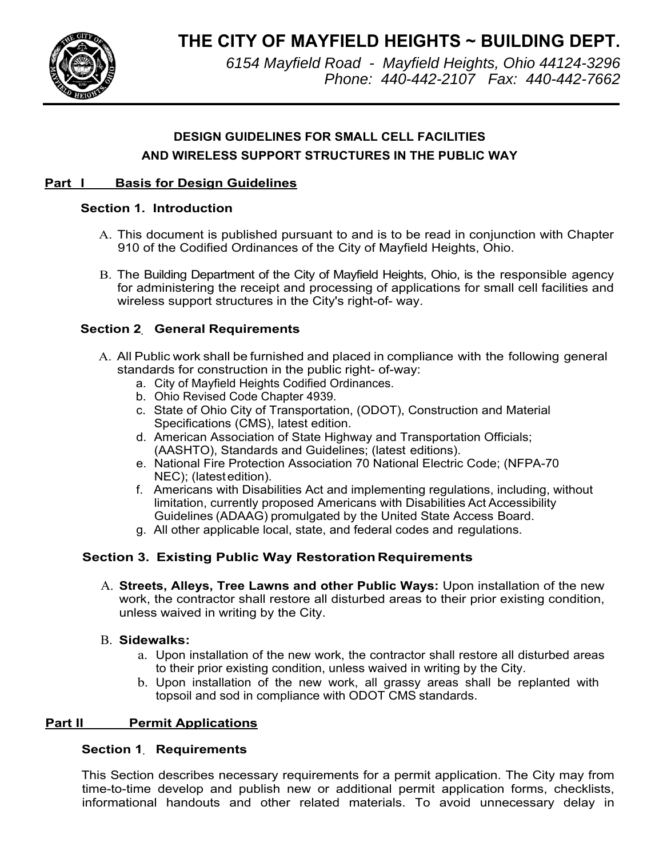**THE CITY OF MAYFIELD HEIGHTS ~ BUILDING DEPT.**



*6154 Mayfield Road - Mayfield Heights, Ohio 44124-3296 Phone: 440-442-2107 Fax: 440-442-7662*

# **DESIGN GUIDELINES FOR SMALL CELL FACILITIES AND WIRELESS SUPPORT STRUCTURES IN THE PUBLIC WAY**

# **Part I Basis for Design Guidelines**

# **Section 1. Introduction**

- A. This document is published pursuant to and is to be read in conjunction with Chapter 910 of the Codified Ordinances of the City of Mayfield Heights, Ohio.
- B. The Building Department of the City of Mayfield Heights, Ohio, is the responsible agency for administering the receipt and processing of applications for small cell facilities and wireless support structures in the City's right-of- way.

# **Section 2. General Requirements**

- A. All Public work shall be furnished and placed in compliance with the following general standards for construction in the public right- of-way:
	- a. City of Mayfield Heights Codified Ordinances.
	- b. Ohio Revised Code Chapter 4939.
	- c. State of Ohio City of Transportation, (ODOT), Construction and Material Specifications (CMS), latest edition.
	- d. American Association of State Highway and Transportation Officials; (AASHTO), Standards and Guidelines; (latest editions).
	- e. National Fire Protection Association 70 National Electric Code; (NFPA-70 NEC); (latest edition).
	- f. Americans with Disabilities Act and implementing regulations, including, without limitation, currently proposed Americans with Disabilities Act Accessibility Guidelines (ADAAG) promulgated by the United State Access Board.
	- g. All other applicable local, state, and federal codes and regulations.

# **Section 3. Existing Public Way Restoration Requirements**

A. **Streets, Alleys, Tree Lawns and other Public Ways:** Upon installation of the new work, the contractor shall restore all disturbed areas to their prior existing condition, unless waived in writing by the City.

### B. **Sidewalks:**

- a. Upon installation of the new work, the contractor shall restore all disturbed areas to their prior existing condition, unless waived in writing by the City.
- b. Upon installation of the new work, all grassy areas shall be replanted with topsoil and sod in compliance with ODOT CMS standards.

# **Part II Permit Applications**

# **Section 1. Requirements**

This Section describes necessary requirements for a permit application. The City may from time-to-time develop and publish new or additional permit application forms, checklists, informational handouts and other related materials. To avoid unnecessary delay in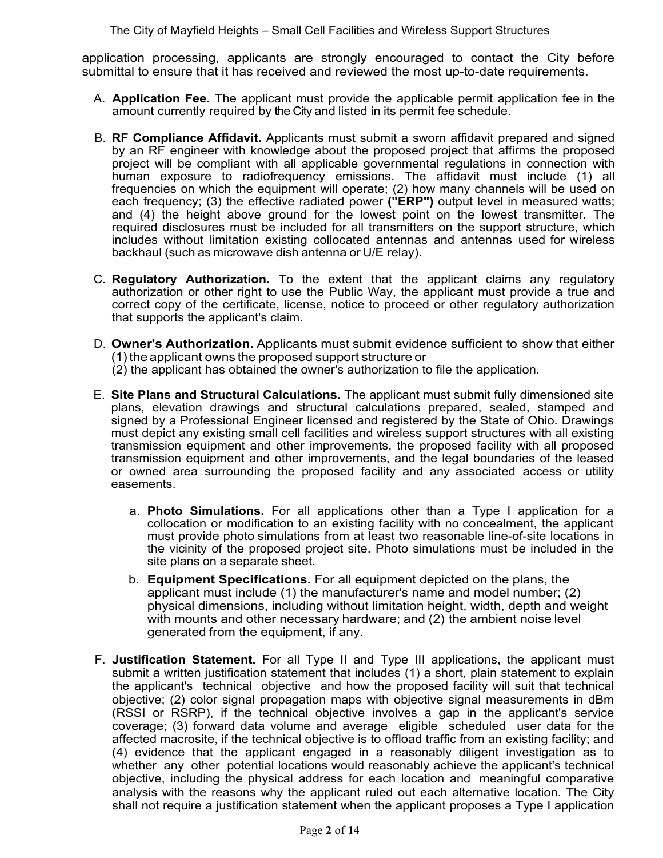application processing, applicants are strongly encouraged to contact the City before submittal to ensure that it has received and reviewed the most up-to-date requirements.

- A. **Application Fee.** The applicant must provide the applicable permit application fee in the amount currently required by the City and listed in its permit fee schedule.
- B. **RF Compliance Affidavit.** Applicants must submit a sworn affidavit prepared and signed by an RF engineer with knowledge about the proposed project that affirms the proposed project will be compliant with all applicable governmental regulations in connection with human exposure to radiofrequency emissions. The affidavit must include (1) all frequencies on which the equipment will operate; (2) how many channels will be used on each frequency; (3) the effective radiated power **("ERP")** output level in measured watts; and (4) the height above ground for the lowest point on the lowest transmitter. The required disclosures must be included for all transmitters on the support structure, which includes without limitation existing collocated antennas and antennas used for wireless backhaul (such as microwave dish antenna or U/E relay).
- C. **Regulatory Authorization.** To the extent that the applicant claims any regulatory authorization or other right to use the Public Way, the applicant must provide a true and correct copy of the certificate, license, notice to proceed or other regulatory authorization that supports the applicant's claim.
- D. **Owner's Authorization.** Applicants must submit evidence sufficient to show that either (1) the applicant owns the proposed support structure or
	- (2) the applicant has obtained the owner's authorization to file the application.
- E. **Site Plans and Structural Calculations.** The applicant must submit fully dimensioned site plans, elevation drawings and structural calculations prepared, sealed, stamped and signed by a Professional Engineer licensed and registered by the State of Ohio. Drawings must depict any existing small cell facilities and wireless support structures with all existing transmission equipment and other improvements, the proposed facility with all proposed transmission equipment and other improvements, and the legal boundaries of the leased or owned area surrounding the proposed facility and any associated access or utility easements.
	- a. **Photo Simulations.** For all applications other than a Type I application for a collocation or modification to an existing facility with no concealment, the applicant must provide photo simulations from at least two reasonable line-of-site locations in the vicinity of the proposed project site. Photo simulations must be included in the site plans on a separate sheet.
	- b. **Equipment Specifications.** For all equipment depicted on the plans, the applicant must include (1) the manufacturer's name and model number; (2) physical dimensions, including without limitation height, width, depth and weight with mounts and other necessary hardware; and (2) the ambient noise level generated from the equipment, if any.
- F. **Justification Statement.** For all Type II and Type III applications, the applicant must submit a written justification statement that includes (1) a short, plain statement to explain the applicant's technical objective and how the proposed facility will suit that technical objective; (2) color signal propagation maps with objective signal measurements in dBm (RSSI or RSRP), if the technical objective involves a gap in the applicant's service coverage; (3) forward data volume and average eligible scheduled user data for the affected macrosite, if the technical objective is to offload traffic from an existing facility; and (4) evidence that the applicant engaged in a reasonably diligent investigation as to whether any other potential locations would reasonably achieve the applicant's technical objective, including the physical address for each location and meaningful comparative analysis with the reasons why the applicant ruled out each alternative location. The City shall not require a justification statement when the applicant proposes a Type I application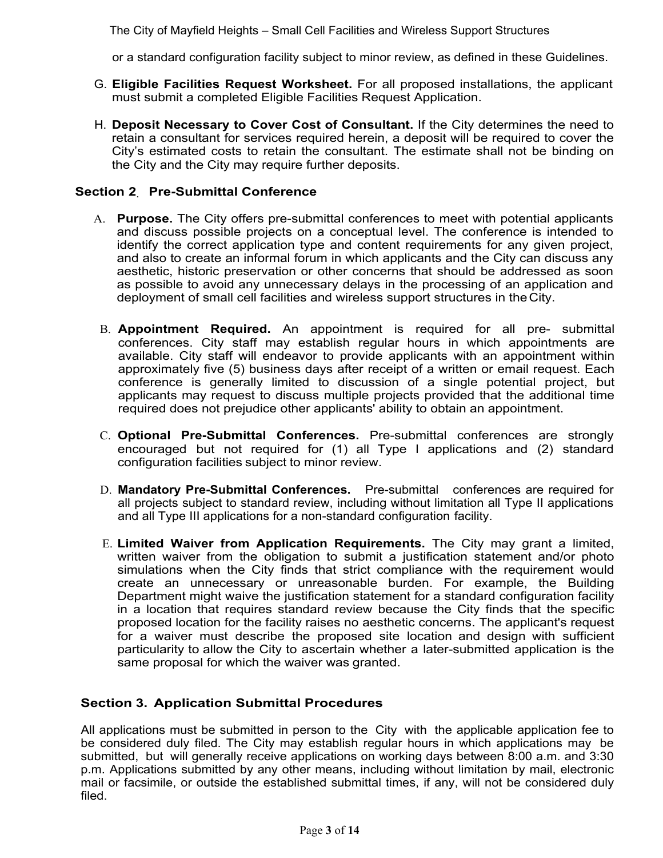or a standard configuration facility subject to minor review, as defined in these Guidelines.

- G. **Eligible Facilities Request Worksheet.** For all proposed installations, the applicant must submit a completed Eligible Facilities Request Application.
- H. **Deposit Necessary to Cover Cost of Consultant.** If the City determines the need to retain a consultant for services required herein, a deposit will be required to cover the City's estimated costs to retain the consultant. The estimate shall not be binding on the City and the City may require further deposits.

# **Section 2. Pre-Submittal Conference**

- A. **Purpose.** The City offers pre-submittal conferences to meet with potential applicants and discuss possible projects on a conceptual level. The conference is intended to identify the correct application type and content requirements for any given project, and also to create an informal forum in which applicants and the City can discuss any aesthetic, historic preservation or other concerns that should be addressed as soon as possible to avoid any unnecessary delays in the processing of an application and deployment of small cell facilities and wireless support structures in the City.
- B. **Appointment Required.** An appointment is required for all pre- submittal conferences. City staff may establish regular hours in which appointments are available. City staff will endeavor to provide applicants with an appointment within approximately five (5) business days after receipt of a written or email request. Each conference is generally limited to discussion of a single potential project, but applicants may request to discuss multiple projects provided that the additional time required does not prejudice other applicants' ability to obtain an appointment.
- C. **Optional Pre-Submittal Conferences.** Pre-submittal conferences are strongly encouraged but not required for (1) all Type I applications and (2) standard configuration facilities subject to minor review.
- D. **Mandatory Pre-Submittal Conferences.** Pre-submittal conferences are required for all projects subject to standard review, including without limitation all Type II applications and all Type III applications for a non-standard configuration facility.
- E. **Limited Waiver from Application Requirements.** The City may grant a limited, written waiver from the obligation to submit a justification statement and/or photo simulations when the City finds that strict compliance with the requirement would create an unnecessary or unreasonable burden. For example, the Building Department might waive the justification statement for a standard configuration facility in a location that requires standard review because the City finds that the specific proposed location for the facility raises no aesthetic concerns. The applicant's request for a waiver must describe the proposed site location and design with sufficient particularity to allow the City to ascertain whether a later-submitted application is the same proposal for which the waiver was granted.

# **Section 3. Application Submittal Procedures**

All applications must be submitted in person to the City with the applicable application fee to be considered duly filed. The City may establish regular hours in which applications may be submitted, but will generally receive applications on working days between 8:00 a.m. and 3:30 p.m. Applications submitted by any other means, including without limitation by mail, electronic mail or facsimile, or outside the established submittal times, if any, will not be considered duly filed.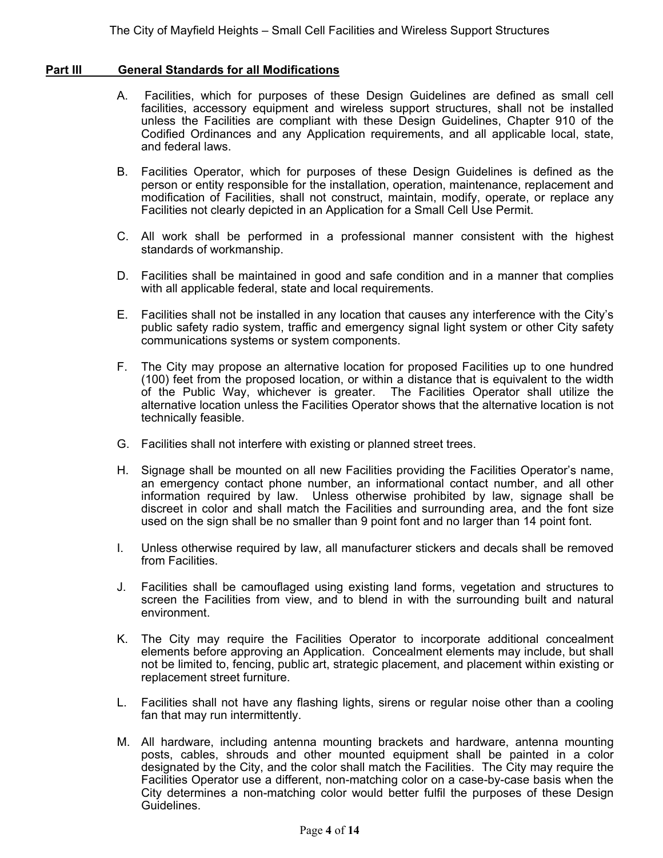#### **Part III General Standards for all Modifications**

- A. Facilities, which for purposes of these Design Guidelines are defined as small cell facilities, accessory equipment and wireless support structures, shall not be installed unless the Facilities are compliant with these Design Guidelines, Chapter 910 of the Codified Ordinances and any Application requirements, and all applicable local, state, and federal laws.
- B. Facilities Operator, which for purposes of these Design Guidelines is defined as the person or entity responsible for the installation, operation, maintenance, replacement and modification of Facilities, shall not construct, maintain, modify, operate, or replace any Facilities not clearly depicted in an Application for a Small Cell Use Permit.
- C. All work shall be performed in a professional manner consistent with the highest standards of workmanship.
- D. Facilities shall be maintained in good and safe condition and in a manner that complies with all applicable federal, state and local requirements.
- E. Facilities shall not be installed in any location that causes any interference with the City's public safety radio system, traffic and emergency signal light system or other City safety communications systems or system components.
- F. The City may propose an alternative location for proposed Facilities up to one hundred (100) feet from the proposed location, or within a distance that is equivalent to the width of the Public Way, whichever is greater. The Facilities Operator shall utilize the alternative location unless the Facilities Operator shows that the alternative location is not technically feasible.
- G. Facilities shall not interfere with existing or planned street trees.
- H. Signage shall be mounted on all new Facilities providing the Facilities Operator's name, an emergency contact phone number, an informational contact number, and all other information required by law. Unless otherwise prohibited by law, signage shall be discreet in color and shall match the Facilities and surrounding area, and the font size used on the sign shall be no smaller than 9 point font and no larger than 14 point font.
- I. Unless otherwise required by law, all manufacturer stickers and decals shall be removed from Facilities.
- J. Facilities shall be camouflaged using existing land forms, vegetation and structures to screen the Facilities from view, and to blend in with the surrounding built and natural environment.
- K. The City may require the Facilities Operator to incorporate additional concealment elements before approving an Application. Concealment elements may include, but shall not be limited to, fencing, public art, strategic placement, and placement within existing or replacement street furniture.
- L. Facilities shall not have any flashing lights, sirens or regular noise other than a cooling fan that may run intermittently.
- M. All hardware, including antenna mounting brackets and hardware, antenna mounting posts, cables, shrouds and other mounted equipment shall be painted in a color designated by the City, and the color shall match the Facilities. The City may require the Facilities Operator use a different, non-matching color on a case-by-case basis when the City determines a non-matching color would better fulfil the purposes of these Design Guidelines.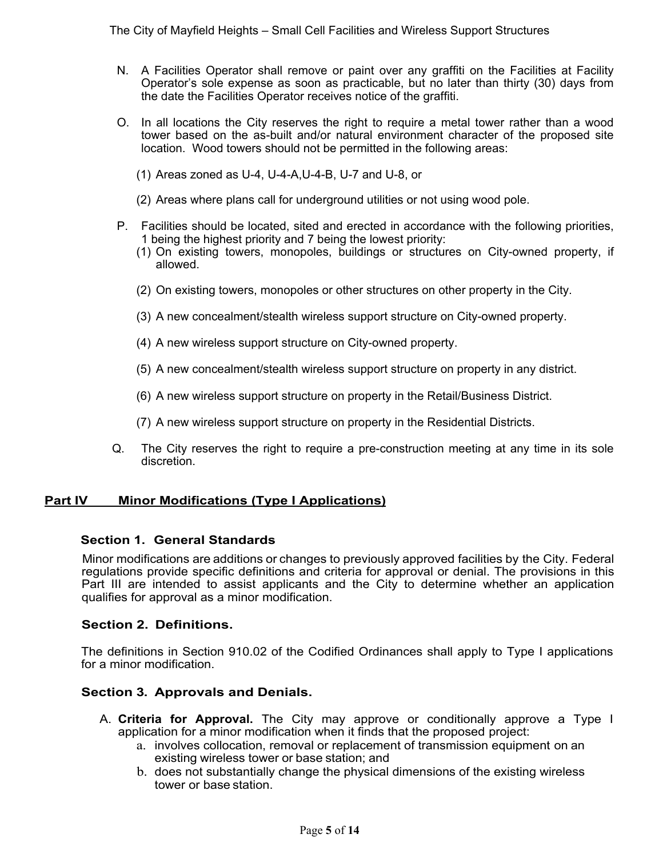- N. A Facilities Operator shall remove or paint over any graffiti on the Facilities at Facility Operator's sole expense as soon as practicable, but no later than thirty (30) days from the date the Facilities Operator receives notice of the graffiti.
- O. In all locations the City reserves the right to require a metal tower rather than a wood tower based on the as-built and/or natural environment character of the proposed site location. Wood towers should not be permitted in the following areas:
	- (1) Areas zoned as U-4, U-4-A,U-4-B, U-7 and U-8, or
	- (2) Areas where plans call for underground utilities or not using wood pole.
- P. Facilities should be located, sited and erected in accordance with the following priorities, 1 being the highest priority and 7 being the lowest priority:
	- (1) On existing towers, monopoles, buildings or structures on City-owned property, if allowed.
	- (2) On existing towers, monopoles or other structures on other property in the City.
	- (3) A new concealment/stealth wireless support structure on City-owned property.
	- (4) A new wireless support structure on City-owned property.
	- (5) A new concealment/stealth wireless support structure on property in any district.
	- (6) A new wireless support structure on property in the Retail/Business District.
	- (7) A new wireless support structure on property in the Residential Districts.
- Q. The City reserves the right to require a pre-construction meeting at any time in its sole discretion.

### **Part IV Minor Modifications (Type I Applications)**

#### **Section 1. General Standards**

Minor modifications are additions or changes to previously approved facilities by the City. Federal regulations provide specific definitions and criteria for approval or denial. The provisions in this Part III are intended to assist applicants and the City to determine whether an application qualifies for approval as a minor modification.

#### **Section 2. Definitions.**

The definitions in Section 910.02 of the Codified Ordinances shall apply to Type I applications for a minor modification.

### **Section 3. Approvals and Denials.**

- A. **Criteria for Approval.** The City may approve or conditionally approve a Type I application for a minor modification when it finds that the proposed project:
	- a. involves collocation, removal or replacement of transmission equipment on an existing wireless tower or base station; and
	- b. does not substantially change the physical dimensions of the existing wireless tower or base station.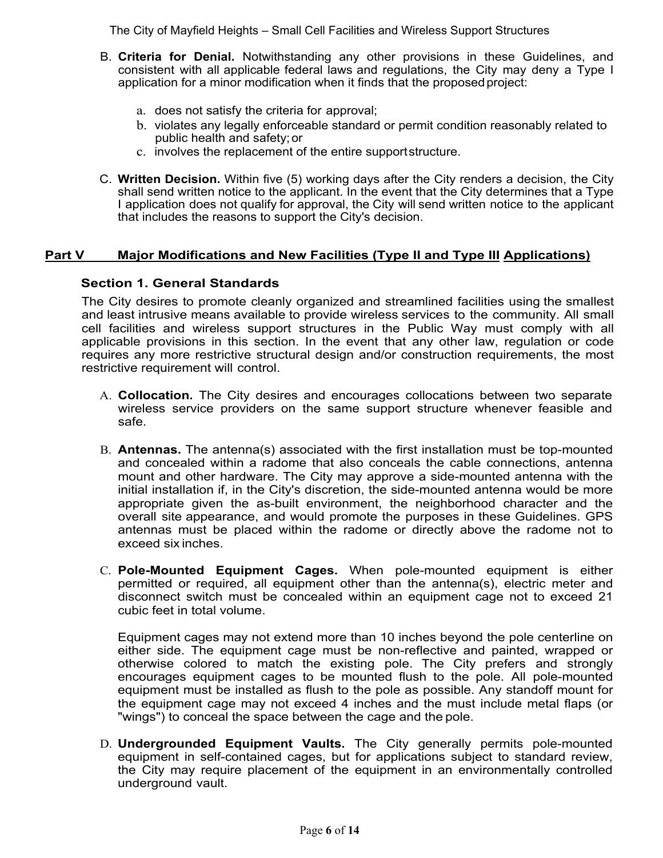- B. **Criteria for Denial.** Notwithstanding any other provisions in these Guidelines, and consistent with all applicable federal laws and regulations, the City may deny a Type I application for a minor modification when it finds that the proposed project:
	- a. does not satisfy the criteria for approval;
	- b. violates any legally enforceable standard or permit condition reasonably related to public health and safety; or
	- c. involves the replacement of the entire support structure.
- C. **Written Decision.** Within five (5) working days after the City renders a decision, the City shall send written notice to the applicant. In the event that the City determines that a Type I application does not qualify for approval, the City will send written notice to the applicant that includes the reasons to support the City's decision.

# **Part V Major Modifications and New Facilities (Type II and Type III Applications)**

# **Section 1. General Standards**

The City desires to promote cleanly organized and streamlined facilities using the smallest and least intrusive means available to provide wireless services to the community. All small cell facilities and wireless support structures in the Public Way must comply with all applicable provisions in this section. In the event that any other law, regulation or code requires any more restrictive structural design and/or construction requirements, the most restrictive requirement will control.

- A. **Collocation.** The City desires and encourages collocations between two separate wireless service providers on the same support structure whenever feasible and safe.
- B. **Antennas.** The antenna(s) associated with the first installation must be top-mounted and concealed within a radome that also conceals the cable connections, antenna mount and other hardware. The City may approve a side-mounted antenna with the initial installation if, in the City's discretion, the side-mounted antenna would be more appropriate given the as-built environment, the neighborhood character and the overall site appearance, and would promote the purposes in these Guidelines. GPS antennas must be placed within the radome or directly above the radome not to exceed six inches.
- C. **Pole-Mounted Equipment Cages.** When pole-mounted equipment is either permitted or required, all equipment other than the antenna(s), electric meter and disconnect switch must be concealed within an equipment cage not to exceed 21 cubic feet in total volume.

Equipment cages may not extend more than 10 inches beyond the pole centerline on either side. The equipment cage must be non-reflective and painted, wrapped or otherwise colored to match the existing pole. The City prefers and strongly encourages equipment cages to be mounted flush to the pole. All pole-mounted equipment must be installed as flush to the pole as possible. Any standoff mount for the equipment cage may not exceed 4 inches and the must include metal flaps (or "wings") to conceal the space between the cage and the pole.

D. **Undergrounded Equipment Vaults.** The City generally permits pole-mounted equipment in self-contained cages, but for applications subject to standard review, the City may require placement of the equipment in an environmentally controlled underground vault.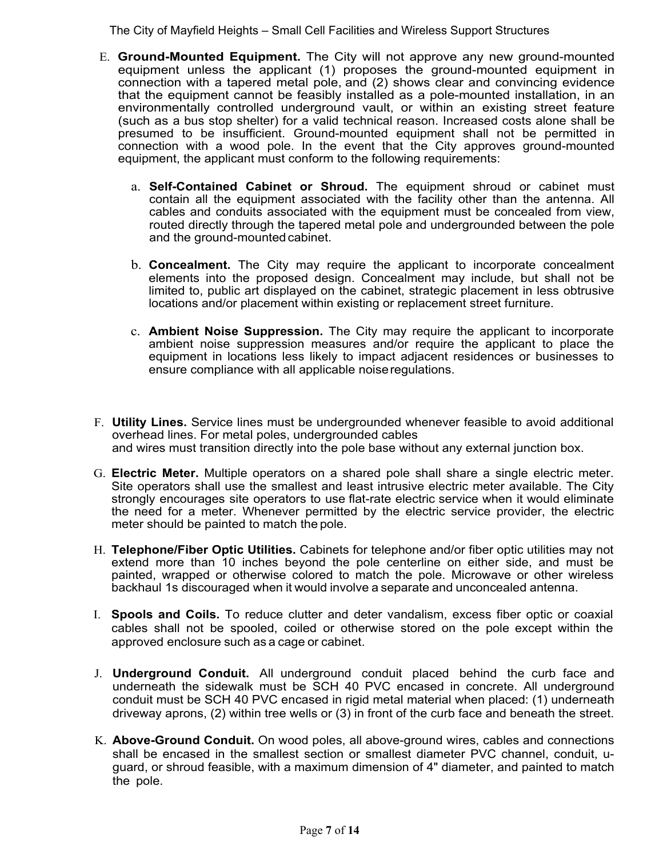- E. **Ground-Mounted Equipment.** The City will not approve any new ground-mounted equipment unless the applicant (1) proposes the ground-mounted equipment in connection with a tapered metal pole, and (2) shows clear and convincing evidence that the equipment cannot be feasibly installed as a pole-mounted installation, in an environmentally controlled underground vault, or within an existing street feature (such as a bus stop shelter) for a valid technical reason. Increased costs alone shall be presumed to be insufficient. Ground-mounted equipment shall not be permitted in connection with a wood pole. In the event that the City approves ground-mounted equipment, the applicant must conform to the following requirements:
	- a. **Self-Contained Cabinet or Shroud.** The equipment shroud or cabinet must contain all the equipment associated with the facility other than the antenna. All cables and conduits associated with the equipment must be concealed from view, routed directly through the tapered metal pole and undergrounded between the pole and the ground-mounted cabinet.
	- b. **Concealment.** The City may require the applicant to incorporate concealment elements into the proposed design. Concealment may include, but shall not be limited to, public art displayed on the cabinet, strategic placement in less obtrusive locations and/or placement within existing or replacement street furniture.
	- c. **Ambient Noise Suppression.** The City may require the applicant to incorporate ambient noise suppression measures and/or require the applicant to place the equipment in locations less likely to impact adjacent residences or businesses to ensure compliance with all applicable noise regulations.
- F. **Utility Lines.** Service lines must be undergrounded whenever feasible to avoid additional overhead lines. For metal poles, undergrounded cables and wires must transition directly into the pole base without any external junction box.
- G. **Electric Meter.** Multiple operators on a shared pole shall share a single electric meter. Site operators shall use the smallest and least intrusive electric meter available. The City strongly encourages site operators to use flat-rate electric service when it would eliminate the need for a meter. Whenever permitted by the electric service provider, the electric meter should be painted to match the pole.
- H. **Telephone/Fiber Optic Utilities.** Cabinets for telephone and/or fiber optic utilities may not extend more than 10 inches beyond the pole centerline on either side, and must be painted, wrapped or otherwise colored to match the pole. Microwave or other wireless backhaul 1s discouraged when it would involve a separate and unconcealed antenna.
- I. **Spools and Coils.** To reduce clutter and deter vandalism, excess fiber optic or coaxial cables shall not be spooled, coiled or otherwise stored on the pole except within the approved enclosure such as a cage or cabinet.
- J. **Underground Conduit.** All underground conduit placed behind the curb face and underneath the sidewalk must be SCH 40 PVC encased in concrete. All underground conduit must be SCH 40 PVC encased in rigid metal material when placed: (1) underneath driveway aprons, (2) within tree wells or (3) in front of the curb face and beneath the street.
- K. **Above-Ground Conduit.** On wood poles, all above-ground wires, cables and connections shall be encased in the smallest section or smallest diameter PVC channel, conduit, uguard, or shroud feasible, with a maximum dimension of 4" diameter, and painted to match the pole.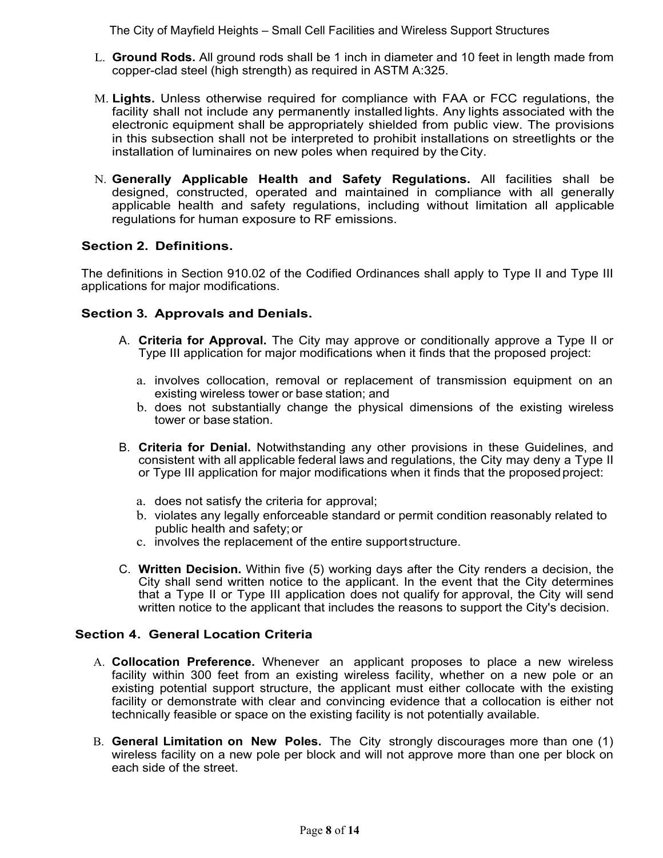- L. **Ground Rods.** All ground rods shall be 1 inch in diameter and 10 feet in length made from copper-clad steel (high strength) as required in ASTM A:325.
- M. **Lights.** Unless otherwise required for compliance with FAA or FCC regulations, the facility shall not include any permanently installed lights. Any lights associated with the electronic equipment shall be appropriately shielded from public view. The provisions in this subsection shall not be interpreted to prohibit installations on streetlights or the installation of luminaires on new poles when required by the City.
- N. **Generally Applicable Health and Safety Regulations.** All facilities shall be designed, constructed, operated and maintained in compliance with all generally applicable health and safety regulations, including without limitation all applicable regulations for human exposure to RF emissions.

# **Section 2. Definitions.**

The definitions in Section 910.02 of the Codified Ordinances shall apply to Type II and Type III applications for major modifications.

# **Section 3. Approvals and Denials.**

- A. **Criteria for Approval.** The City may approve or conditionally approve a Type II or Type III application for major modifications when it finds that the proposed project:
	- a. involves collocation, removal or replacement of transmission equipment on an existing wireless tower or base station; and
	- b. does not substantially change the physical dimensions of the existing wireless tower or base station.
- B. **Criteria for Denial.** Notwithstanding any other provisions in these Guidelines, and consistent with all applicable federal laws and regulations, the City may deny a Type II or Type III application for major modifications when it finds that the proposed project:
	- a. does not satisfy the criteria for approval;
	- b. violates any legally enforceable standard or permit condition reasonably related to public health and safety; or
	- c. involves the replacement of the entire support structure.
- C. **Written Decision.** Within five (5) working days after the City renders a decision, the City shall send written notice to the applicant. In the event that the City determines that a Type II or Type III application does not qualify for approval, the City will send written notice to the applicant that includes the reasons to support the City's decision.

### **Section 4. General Location Criteria**

- A. **Collocation Preference.** Whenever an applicant proposes to place a new wireless facility within 300 feet from an existing wireless facility, whether on a new pole or an existing potential support structure, the applicant must either collocate with the existing facility or demonstrate with clear and convincing evidence that a collocation is either not technically feasible or space on the existing facility is not potentially available.
- B. **General Limitation on New Poles.** The City strongly discourages more than one (1) wireless facility on a new pole per block and will not approve more than one per block on each side of the street.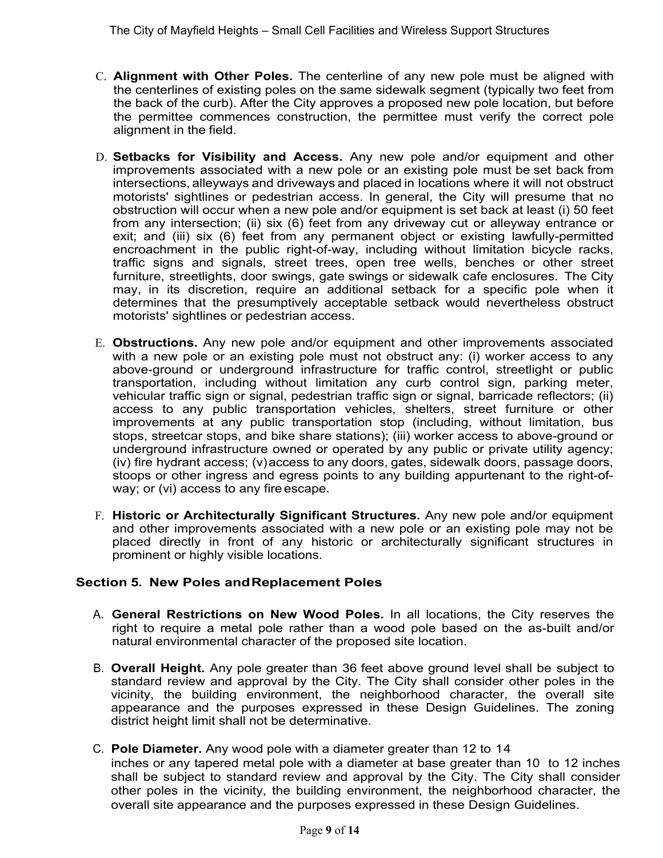- C. **Alignment with Other Poles.** The centerline of any new pole must be aligned with the centerlines of existing poles on the same sidewalk segment (typically two feet from the back of the curb). After the City approves a proposed new pole location, but before the permittee commences construction, the permittee must verify the correct pole alignment in the field.
- D. **Setbacks for Visibility and Access.** Any new pole and/or equipment and other improvements associated with a new pole or an existing pole must be set back from intersections, alleyways and driveways and placed in locations where it will not obstruct motorists' sightlines or pedestrian access. In general, the City will presume that no obstruction will occur when a new pole and/or equipment is set back at least (i) 50 feet from any intersection; (ii) six (6) feet from any driveway cut or alleyway entrance or exit; and (iii) six (6) feet from any permanent object or existing lawfully-permitted encroachment in the public right-of-way, including without limitation bicycle racks, traffic signs and signals, street trees, open tree wells, benches or other street furniture, streetlights, door swings, gate swings or sidewalk cafe enclosures. The City may, in its discretion, require an additional setback for a specific pole when it determines that the presumptively acceptable setback would nevertheless obstruct motorists' sightlines or pedestrian access.
- E. **Obstructions.** Any new pole and/or equipment and other improvements associated with a new pole or an existing pole must not obstruct any: (i) worker access to any above-ground or underground infrastructure for traffic control, streetlight or public transportation, including without limitation any curb control sign, parking meter, vehicular traffic sign or signal, pedestrian traffic sign or signal, barricade reflectors; (ii) access to any public transportation vehicles, shelters, street furniture or other improvements at any public transportation stop (including, without limitation, bus stops, streetcar stops, and bike share stations); (iii) worker access to above-ground or underground infrastructure owned or operated by any public or private utility agency; (iv) fire hydrant access; (v) access to any doors, gates, sidewalk doors, passage doors, stoops or other ingress and egress points to any building appurtenant to the right-ofway; or (vi) access to any fire escape.
- F. **Historic or Architecturally Significant Structures.** Any new pole and/or equipment and other improvements associated with a new pole or an existing pole may not be placed directly in front of any historic or architecturally significant structures in prominent or highly visible locations.

### **Section 5. New Poles and Replacement Poles**

- A. **General Restrictions on New Wood Poles.** In all locations, the City reserves the right to require a metal pole rather than a wood pole based on the as-built and/or natural environmental character of the proposed site location.
- B. **Overall Height.** Any pole greater than 36 feet above ground level shall be subject to standard review and approval by the City. The City shall consider other poles in the vicinity, the building environment, the neighborhood character, the overall site appearance and the purposes expressed in these Design Guidelines. The zoning district height limit shall not be determinative.
- C. **Pole Diameter.** Any wood pole with a diameter greater than 12 to 14

inches or any tapered metal pole with a diameter at base greater than 10 to 12 inches shall be subject to standard review and approval by the City. The City shall consider other poles in the vicinity, the building environment, the neighborhood character, the overall site appearance and the purposes expressed in these Design Guidelines.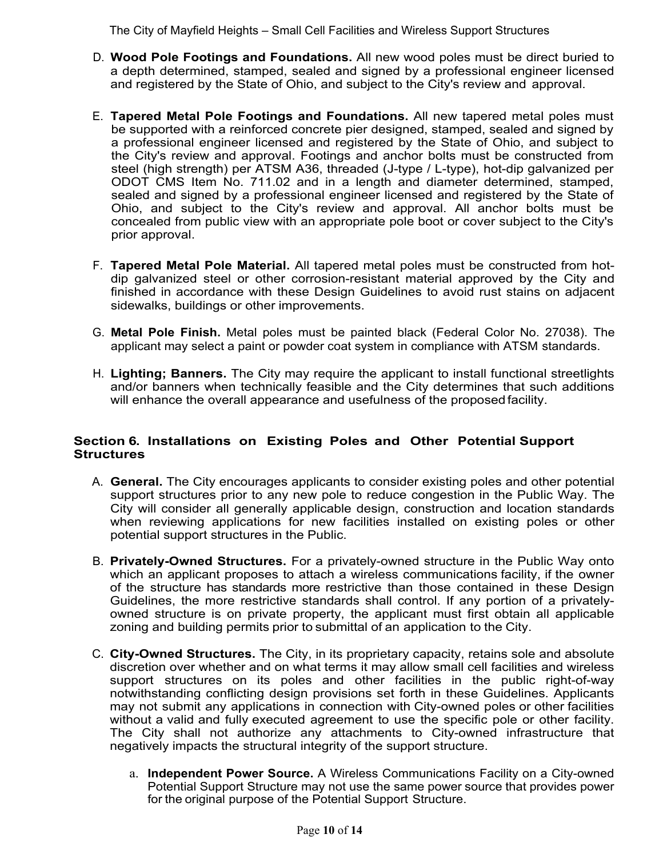- D. **Wood Pole Footings and Foundations.** All new wood poles must be direct buried to a depth determined, stamped, sealed and signed by a professional engineer licensed and registered by the State of Ohio, and subject to the City's review and approval.
- E. **Tapered Metal Pole Footings and Foundations.** All new tapered metal poles must be supported with a reinforced concrete pier designed, stamped, sealed and signed by a professional engineer licensed and registered by the State of Ohio, and subject to the City's review and approval. Footings and anchor bolts must be constructed from steel (high strength) per ATSM A36, threaded (J-type / L-type), hot-dip galvanized per ODOT CMS Item No. 711.02 and in a length and diameter determined, stamped, sealed and signed by a professional engineer licensed and registered by the State of Ohio, and subject to the City's review and approval. All anchor bolts must be concealed from public view with an appropriate pole boot or cover subject to the City's prior approval.
- F. **Tapered Metal Pole Material.** All tapered metal poles must be constructed from hotdip galvanized steel or other corrosion-resistant material approved by the City and finished in accordance with these Design Guidelines to avoid rust stains on adjacent sidewalks, buildings or other improvements.
- G. **Metal Pole Finish.** Metal poles must be painted black (Federal Color No. 27038). The applicant may select a paint or powder coat system in compliance with ATSM standards.
- H. **Lighting; Banners.** The City may require the applicant to install functional streetlights and/or banners when technically feasible and the City determines that such additions will enhance the overall appearance and usefulness of the proposed facility.

### **Section 6. Installations on Existing Poles and Other Potential Support Structures**

- A. **General.** The City encourages applicants to consider existing poles and other potential support structures prior to any new pole to reduce congestion in the Public Way. The City will consider all generally applicable design, construction and location standards when reviewing applications for new facilities installed on existing poles or other potential support structures in the Public.
- B. **Privately-Owned Structures.** For a privately-owned structure in the Public Way onto which an applicant proposes to attach a wireless communications facility, if the owner of the structure has standards more restrictive than those contained in these Design Guidelines, the more restrictive standards shall control. If any portion of a privatelyowned structure is on private property, the applicant must first obtain all applicable zoning and building permits prior to submittal of an application to the City.
- C. **City-Owned Structures.** The City, in its proprietary capacity, retains sole and absolute discretion over whether and on what terms it may allow small cell facilities and wireless support structures on its poles and other facilities in the public right-of-way notwithstanding conflicting design provisions set forth in these Guidelines. Applicants may not submit any applications in connection with City-owned poles or other facilities without a valid and fully executed agreement to use the specific pole or other facility. The City shall not authorize any attachments to City-owned infrastructure that negatively impacts the structural integrity of the support structure.
	- a. **Independent Power Source.** A Wireless Communications Facility on a City-owned Potential Support Structure may not use the same power source that provides power for the original purpose of the Potential Support Structure.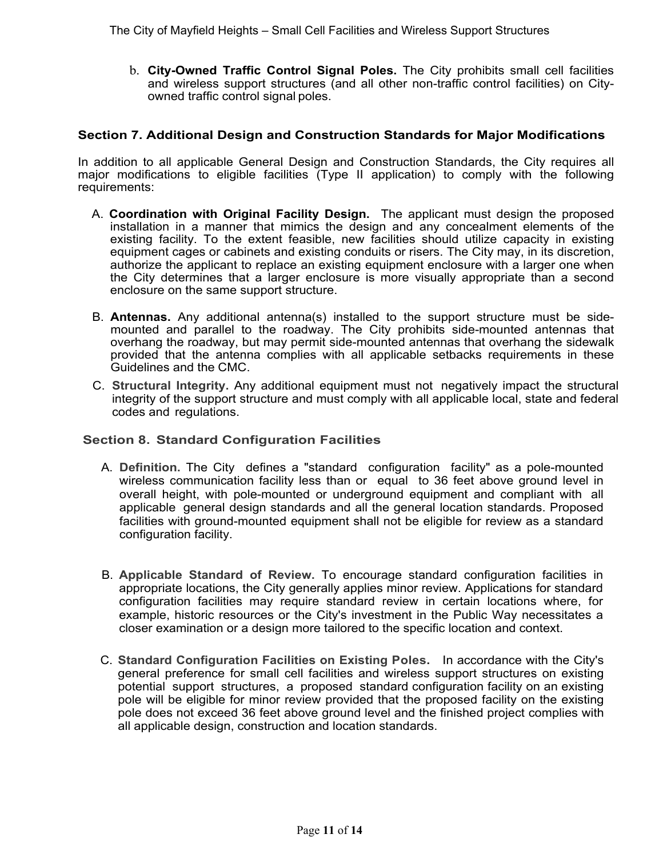b. **City-Owned Traffic Control Signal Poles.** The City prohibits small cell facilities and wireless support structures (and all other non-traffic control facilities) on Cityowned traffic control signal poles.

### **Section 7. Additional Design and Construction Standards for Major Modifications**

In addition to all applicable General Design and Construction Standards, the City requires all major modifications to eligible facilities (Type II application) to comply with the following requirements:

- A. **Coordination with Original Facility Design.** The applicant must design the proposed installation in a manner that mimics the design and any concealment elements of the existing facility. To the extent feasible, new facilities should utilize capacity in existing equipment cages or cabinets and existing conduits or risers. The City may, in its discretion, authorize the applicant to replace an existing equipment enclosure with a larger one when the City determines that a larger enclosure is more visually appropriate than a second enclosure on the same support structure.
- B. **Antennas.** Any additional antenna(s) installed to the support structure must be sidemounted and parallel to the roadway. The City prohibits side-mounted antennas that overhang the roadway, but may permit side-mounted antennas that overhang the sidewalk provided that the antenna complies with all applicable setbacks requirements in these Guidelines and the CMC.
- C. **Structural Integrity.** Any additional equipment must not negatively impact the structural integrity of the support structure and must comply with all applicable local, state and federal codes and regulations.

#### **Section 8. Standard Configuration Facilities**

- A. **Definition.** The City defines a "standard configuration facility" as a pole-mounted wireless communication facility less than or equal to 36 feet above ground level in overall height, with pole-mounted or underground equipment and compliant with all applicable general design standards and all the general location standards. Proposed facilities with ground-mounted equipment shall not be eligible for review as a standard configuration facility.
- B. **Applicable Standard of Review.** To encourage standard configuration facilities in appropriate locations, the City generally applies minor review. Applications for standard configuration facilities may require standard review in certain locations where, for example, historic resources or the City's investment in the Public Way necessitates a closer examination or a design more tailored to the specific location and context.
- C. **Standard Configuration Facilities on Existing Poles.** In accordance with the City's general preference for small cell facilities and wireless support structures on existing potential support structures, a proposed standard configuration facility on an existing pole will be eligible for minor review provided that the proposed facility on the existing pole does not exceed 36 feet above ground level and the finished project complies with all applicable design, construction and location standards.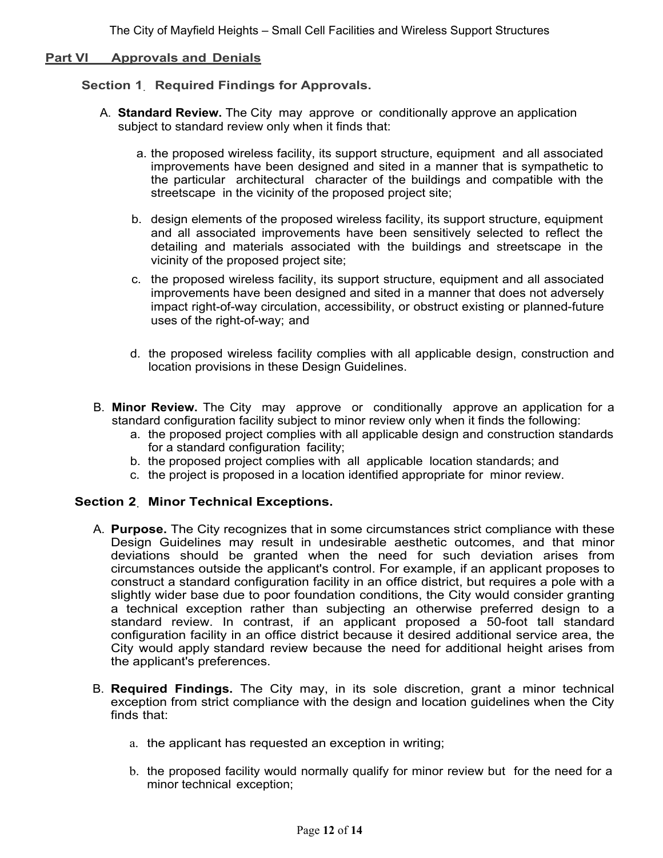#### **Part VI Approvals and Denials**

#### **Section 1. Required Findings for Approvals.**

- A. **Standard Review.** The City may approve or conditionally approve an application subject to standard review only when it finds that:
	- a. the proposed wireless facility, its support structure, equipment and all associated improvements have been designed and sited in a manner that is sympathetic to the particular architectural character of the buildings and compatible with the streetscape in the vicinity of the proposed project site;
	- b. design elements of the proposed wireless facility, its support structure, equipment and all associated improvements have been sensitively selected to reflect the detailing and materials associated with the buildings and streetscape in the vicinity of the proposed project site;
	- c. the proposed wireless facility, its support structure, equipment and all associated improvements have been designed and sited in a manner that does not adversely impact right-of-way circulation, accessibility, or obstruct existing or planned-future uses of the right-of-way; and
	- d. the proposed wireless facility complies with all applicable design, construction and location provisions in these Design Guidelines.
- B. **Minor Review.** The City may approve or conditionally approve an application for a standard configuration facility subject to minor review only when it finds the following:
	- a. the proposed project complies with all applicable design and construction standards for a standard configuration facility;
	- b. the proposed project complies with all applicable location standards; and
	- c. the project is proposed in a location identified appropriate for minor review.

#### **Section 2. Minor Technical Exceptions.**

- A. **Purpose.** The City recognizes that in some circumstances strict compliance with these Design Guidelines may result in undesirable aesthetic outcomes, and that minor deviations should be granted when the need for such deviation arises from circumstances outside the applicant's control. For example, if an applicant proposes to construct a standard configuration facility in an office district, but requires a pole with a slightly wider base due to poor foundation conditions, the City would consider granting a technical exception rather than subjecting an otherwise preferred design to a standard review. In contrast, if an applicant proposed a 50-foot tall standard configuration facility in an office district because it desired additional service area, the City would apply standard review because the need for additional height arises from the applicant's preferences.
- B. **Required Findings.** The City may, in its sole discretion, grant a minor technical exception from strict compliance with the design and location guidelines when the City finds that:
	- a. the applicant has requested an exception in writing;
	- b. the proposed facility would normally qualify for minor review but for the need for a minor technical exception;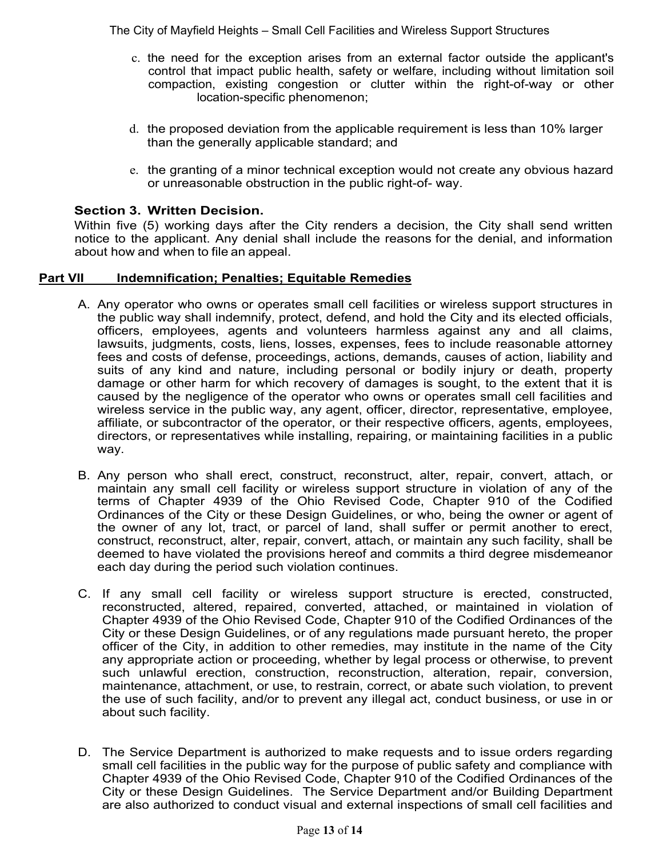- c. the need for the exception arises from an external factor outside the applicant's control that impact public health, safety or welfare, including without limitation soil compaction, existing congestion or clutter within the right-of-way or other location-specific phenomenon;
- d. the proposed deviation from the applicable requirement is less than 10% larger than the generally applicable standard; and
- e. the granting of a minor technical exception would not create any obvious hazard or unreasonable obstruction in the public right-of- way.

# **Section 3. Written Decision.**

Within five (5) working days after the City renders a decision, the City shall send written notice to the applicant. Any denial shall include the reasons for the denial, and information about how and when to file an appeal.

### **Part VII Indemnification; Penalties; Equitable Remedies**

- A. Any operator who owns or operates small cell facilities or wireless support structures in the public way shall indemnify, protect, defend, and hold the City and its elected officials, officers, employees, agents and volunteers harmless against any and all claims, lawsuits, judgments, costs, liens, losses, expenses, fees to include reasonable attorney fees and costs of defense, proceedings, actions, demands, causes of action, liability and suits of any kind and nature, including personal or bodily injury or death, property damage or other harm for which recovery of damages is sought, to the extent that it is caused by the negligence of the operator who owns or operates small cell facilities and wireless service in the public way, any agent, officer, director, representative, employee, affiliate, or subcontractor of the operator, or their respective officers, agents, employees, directors, or representatives while installing, repairing, or maintaining facilities in a public way.
- B. Any person who shall erect, construct, reconstruct, alter, repair, convert, attach, or maintain any small cell facility or wireless support structure in violation of any of the terms of Chapter 4939 of the Ohio Revised Code, Chapter 910 of the Codified Ordinances of the City or these Design Guidelines, or who, being the owner or agent of the owner of any lot, tract, or parcel of land, shall suffer or permit another to erect, construct, reconstruct, alter, repair, convert, attach, or maintain any such facility, shall be deemed to have violated the provisions hereof and commits a third degree misdemeanor each day during the period such violation continues.
- C. If any small cell facility or wireless support structure is erected, constructed, reconstructed, altered, repaired, converted, attached, or maintained in violation of Chapter 4939 of the Ohio Revised Code, Chapter 910 of the Codified Ordinances of the City or these Design Guidelines, or of any regulations made pursuant hereto, the proper officer of the City, in addition to other remedies, may institute in the name of the City any appropriate action or proceeding, whether by legal process or otherwise, to prevent such unlawful erection, construction, reconstruction, alteration, repair, conversion, maintenance, attachment, or use, to restrain, correct, or abate such violation, to prevent the use of such facility, and/or to prevent any illegal act, conduct business, or use in or about such facility.
- D. The Service Department is authorized to make requests and to issue orders regarding small cell facilities in the public way for the purpose of public safety and compliance with Chapter 4939 of the Ohio Revised Code, Chapter 910 of the Codified Ordinances of the City or these Design Guidelines. The Service Department and/or Building Department are also authorized to conduct visual and external inspections of small cell facilities and